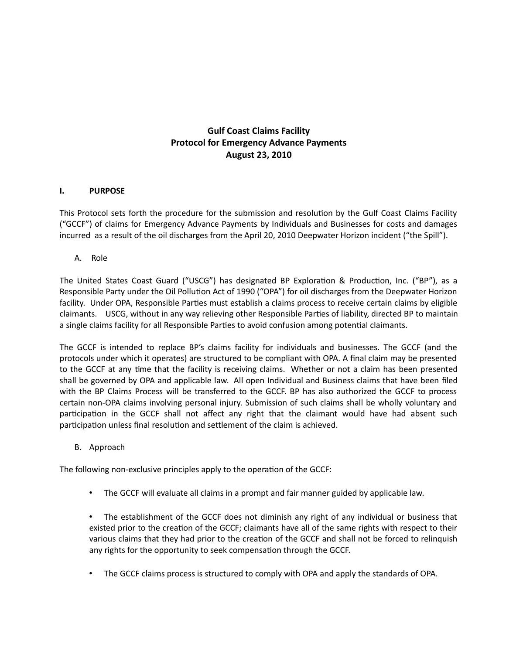# **Gulf Coast Claims Facility Protocol for Emergency Advance Payments August 23, 2010**

## **I. PURPOSE**

This Protocol sets forth the procedure for the submission and resolution by the Gulf Coast Claims Facility ("GCCF") of claims for Emergency Advance Payments by Individuals and Businesses for costs and damages incurred as a result of the oil discharges from the April 20, 2010 Deepwater Horizon incident ("the Spill").

A. Role

The United States Coast Guard ("USCG") has designated BP Exploration & Production, Inc. ("BP"), as a Responsible Party under the Oil Polluton Act of 1990 ("OPA") for oil discharges from the Deepwater Horizon facility. Under OPA, Responsible Parties must establish a claims process to receive certain claims by eligible claimants. USCG, without in any way relieving other Responsible Partes of liability, directed BP to maintain a single claims facility for all Responsible Parties to avoid confusion among potential claimants.

The GCCF is intended to replace BP's claims facility for individuals and businesses. The GCCF (and the protocols under which it operates) are structured to be compliant with OPA. A fnal claim may be presented to the GCCF at any tme that the facility is receiving claims. Whether or not a claim has been presented shall be governed by OPA and applicable law. All open Individual and Business claims that have been fled with the BP Claims Process will be transferred to the GCCF. BP has also authorized the GCCF to process certain non-OPA claims involving personal injury. Submission of such claims shall be wholly voluntary and participation in the GCCF shall not affect any right that the claimant would have had absent such participation unless final resolution and settlement of the claim is achieved.

B. Approach

The following non-exclusive principles apply to the operation of the GCCF:

• The GCCF will evaluate all claims in a prompt and fair manner guided by applicable law.

• The establishment of the GCCF does not diminish any right of any individual or business that existed prior to the creation of the GCCF; claimants have all of the same rights with respect to their various claims that they had prior to the creaton of the GCCF and shall not be forced to relinquish any rights for the opportunity to seek compensaton through the GCCF.

• The GCCF claims process is structured to comply with OPA and apply the standards of OPA.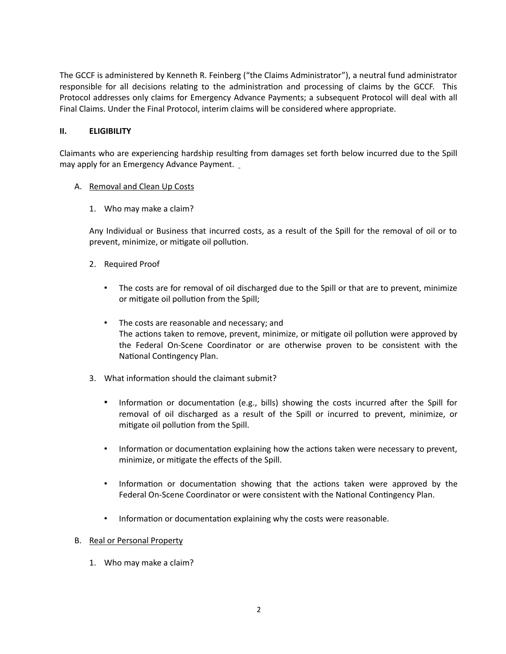The GCCF is administered by Kenneth R. Feinberg ("the Claims Administrator"), a neutral fund administrator responsible for all decisions relatng to the administraton and processing of claims by the GCCF. This Protocol addresses only claims for Emergency Advance Payments; a subsequent Protocol will deal with all Final Claims. Under the Final Protocol, interim claims will be considered where appropriate.

## **II. ELIGIBILITY**

Claimants who are experiencing hardship resultng from damages set forth below incurred due to the Spill may apply for an Emergency Advance Payment.

#### A. Removal and Clean Up Costs

1. Who may make a claim?

Any Individual or Business that incurred costs, as a result of the Spill for the removal of oil or to prevent, minimize, or mitigate oil pollution.

- 2. Required Proof
	- The costs are for removal of oil discharged due to the Spill or that are to prevent, minimize or mitigate oil pollution from the Spill;
	- The costs are reasonable and necessary; and The actions taken to remove, prevent, minimize, or mitigate oil pollution were approved by the Federal On-Scene Coordinator or are otherwise proven to be consistent with the National Contingency Plan.
- 3. What information should the claimant submit?
	- Information or documentation (e.g., bills) showing the costs incurred after the Spill for removal of oil discharged as a result of the Spill or incurred to prevent, minimize, or mitgate oil polluton from the Spill.
	- Information or documentation explaining how the actions taken were necessary to prevent, minimize, or mitigate the effects of the Spill.
	- Information or documentation showing that the actions taken were approved by the Federal On-Scene Coordinator or were consistent with the National Contingency Plan.
	- Information or documentation explaining why the costs were reasonable.
- B. Real or Personal Property
	- 1. Who may make a claim?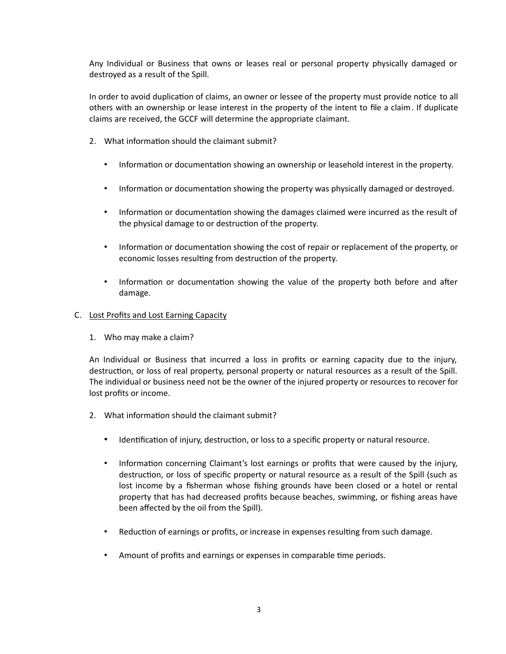Any Individual or Business that owns or leases real or personal property physically damaged or destroyed as a result of the Spill.

In order to avoid duplication of claims, an owner or lessee of the property must provide notice to all others with an ownership or lease interest in the property of the intent to fle a claim. If duplicate claims are received, the GCCF will determine the appropriate claimant.

- 2. What information should the claimant submit?
	- Information or documentation showing an ownership or leasehold interest in the property.
	- Information or documentation showing the property was physically damaged or destroyed.
	- Information or documentation showing the damages claimed were incurred as the result of the physical damage to or destruction of the property.
	- Information or documentation showing the cost of repair or replacement of the property, or economic losses resulting from destruction of the property.
	- Information or documentation showing the value of the property both before and after damage.

## C. Lost Profts and Lost Earning Capacity

1. Who may make a claim?

An Individual or Business that incurred a loss in profts or earning capacity due to the injury, destruction, or loss of real property, personal property or natural resources as a result of the Spill. The individual or business need not be the owner of the injured property or resources to recover for lost profits or income.

- 2. What information should the claimant submit?
	- Identification of injury, destruction, or loss to a specific property or natural resource.
	- Information concerning Claimant's lost earnings or profits that were caused by the injury, destruction, or loss of specific property or natural resource as a result of the Spill (such as lost income by a fisherman whose fishing grounds have been closed or a hotel or rental property that has had decreased profts because beaches, swimming, or fshing areas have been afected by the oil from the Spill).
	- Reduction of earnings or profits, or increase in expenses resulting from such damage.
	- Amount of profts and earnings or expenses in comparable tme periods.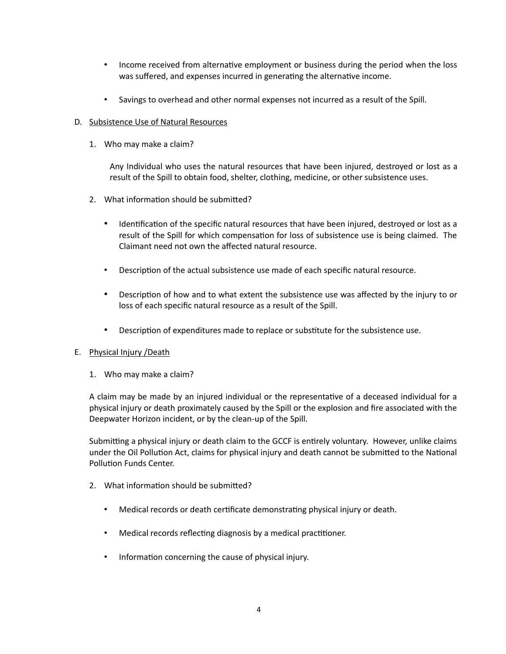- Income received from alternative employment or business during the period when the loss was suffered, and expenses incurred in generating the alternative income.
- Savings to overhead and other normal expenses not incurred as a result of the Spill.

## D. Subsistence Use of Natural Resources

1. Who may make a claim?

Any Individual who uses the natural resources that have been injured, destroyed or lost as a result of the Spill to obtain food, shelter, clothing, medicine, or other subsistence uses.

- 2. What information should be submitted?
	- Identification of the specific natural resources that have been injured, destroyed or lost as a result of the Spill for which compensaton for loss of subsistence use is being claimed. The Claimant need not own the afected natural resource.
	- Descripton of the actual subsistence use made of each specifc natural resource.
	- Description of how and to what extent the subsistence use was affected by the injury to or loss of each specific natural resource as a result of the Spill.
	- Description of expenditures made to replace or substitute for the subsistence use.

## E. Physical Injury /Death

1. Who may make a claim?

A claim may be made by an injured individual or the representatve of a deceased individual for a physical injury or death proximately caused by the Spill or the explosion and fre associated with the Deepwater Horizon incident, or by the clean-up of the Spill.

Submitting a physical injury or death claim to the GCCF is entirely voluntary. However, unlike claims under the Oil Pollution Act, claims for physical injury and death cannot be submitted to the National Pollution Funds Center.

- 2. What information should be submitted?
	- Medical records or death certificate demonstrating physical injury or death.
	- Medical records reflecting diagnosis by a medical practitioner.
	- Information concerning the cause of physical injury.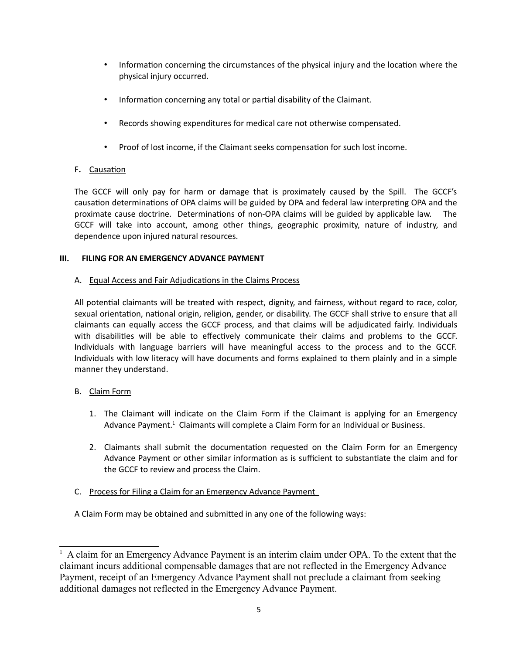- Information concerning the circumstances of the physical injury and the location where the physical injury occurred.
- Information concerning any total or partial disability of the Claimant.
- Records showing expenditures for medical care not otherwise compensated.
- Proof of lost income, if the Claimant seeks compensation for such lost income.

## F. Causation

The GCCF will only pay for harm or damage that is proximately caused by the Spill. The GCCF's causation determinations of OPA claims will be guided by OPA and federal law interpreting OPA and the proximate cause doctrine. Determinations of non-OPA claims will be guided by applicable law. The GCCF will take into account, among other things, geographic proximity, nature of industry, and dependence upon injured natural resources.

## **III. FILING FOR AN EMERGENCY ADVANCE PAYMENT**

## A. Equal Access and Fair Adjudications in the Claims Process

All potental claimants will be treated with respect, dignity, and fairness, without regard to race, color, sexual orientation, national origin, religion, gender, or disability. The GCCF shall strive to ensure that all claimants can equally access the GCCF process, and that claims will be adjudicated fairly. Individuals with disabilities will be able to effectively communicate their claims and problems to the GCCF. Individuals with language barriers will have meaningful access to the process and to the GCCF. Individuals with low literacy will have documents and forms explained to them plainly and in a simple manner they understand.

## B. Claim Form

- 1. The Claimant will indicate on the Claim Form if the Claimant is applying for an Emergency Advance Payment.<sup>[1](#page-4-0)</sup> Claimants will complete a Claim Form for an Individual or Business.
- 2. Claimants shall submit the documentation requested on the Claim Form for an Emergency Advance Payment or other similar information as is sufficient to substantiate the claim and for the GCCF to review and process the Claim.
- C. Process for Filing a Claim for an Emergency Advance Payment

A Claim Form may be obtained and submited in any one of the following ways:

<span id="page-4-0"></span><sup>&</sup>lt;sup>1</sup> A claim for an Emergency Advance Payment is an interim claim under OPA. To the extent that the claimant incurs additional compensable damages that are not reflected in the Emergency Advance Payment, receipt of an Emergency Advance Payment shall not preclude a claimant from seeking additional damages not reflected in the Emergency Advance Payment.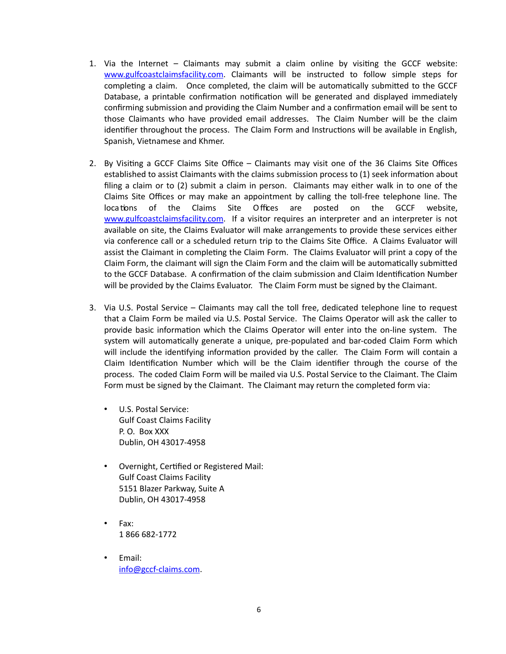- 1. Via the Internet Claimants may submit a claim online by visitng the GCCF website: [www.gulfcoastclaimsfacility.com.](http://www.gulfcoastclaimsfacility.com/) Claimants will be instructed to follow simple steps for completing a claim. Once completed, the claim will be automatically submitted to the GCCF Database, a printable confirmation notification will be generated and displayed immediately confirming submission and providing the Claim Number and a confirmation email will be sent to those Claimants who have provided email addresses. The Claim Number will be the claim identifier throughout the process. The Claim Form and Instructions will be available in English, Spanish, Vietnamese and Khmer.
- 2. By Visiting a GCCF Claims Site Office  $-$  Claimants may visit one of the 36 Claims Site Offices established to assist Claimants with the claims submission process to (1) seek informaton about fling a claim or to (2) submit a claim in person. Claimants may either walk in to one of the Claims Site Offices or may make an appointment by calling the toll-free telephone line. The locations of the Claims Site Offices are posted on the GCCF website, [www.gulfcoastclaimsfacility.com.](http://www.gulfcoastclaimsfacility.com/) If a visitor requires an interpreter and an interpreter is not available on site, the Claims Evaluator will make arrangements to provide these services either via conference call or a scheduled return trip to the Claims Site Office. A Claims Evaluator will assist the Claimant in completng the Claim Form. The Claims Evaluator will print a copy of the Claim Form, the claimant will sign the Claim Form and the claim will be automatcally submited to the GCCF Database. A confirmation of the claim submission and Claim Identification Number will be provided by the Claims Evaluator. The Claim Form must be signed by the Claimant.
- 3. Via U.S. Postal Service Claimants may call the toll free, dedicated telephone line to request that a Claim Form be mailed via U.S. Postal Service. The Claims Operator will ask the caller to provide basic information which the Claims Operator will enter into the on-line system. The system will automatcally generate a unique, pre-populated and bar-coded Claim Form which will include the identifying information provided by the caller. The Claim Form will contain a Claim Identification Number which will be the Claim identifier through the course of the process. The coded Claim Form will be mailed via U.S. Postal Service to the Claimant. The Claim Form must be signed by the Claimant. The Claimant may return the completed form via:
	- U.S. Postal Service: Gulf Coast Claims Facility P. O. Box XXX Dublin, OH 43017-4958
	- Overnight, Certified or Registered Mail: Gulf Coast Claims Facility 5151 Blazer Parkway, Suite A Dublin, OH 43017-4958
	- Fax: 1 866 682-1772
	- Email: [info@gccf-claims.com.](mailto:info@gccf-claims.com)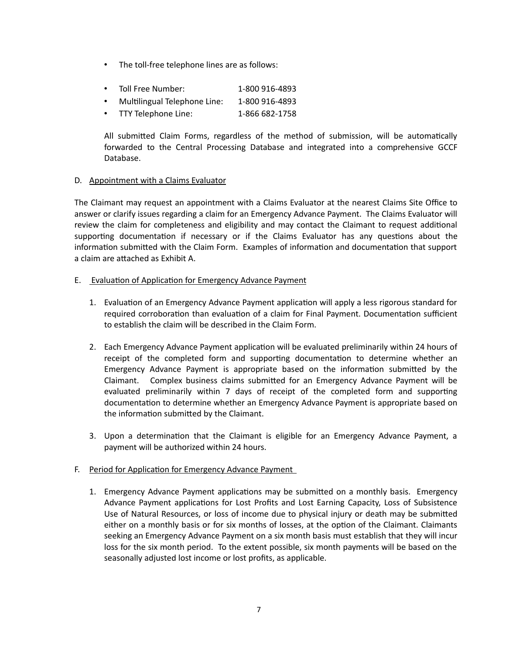- The toll-free telephone lines are as follows:
- Toll Free Number: 1-800 916-4893 • Multilingual Telephone Line: 1-800 916-4893
- TTY Telephone Line: 1-866 682-1758

All submitted Claim Forms, regardless of the method of submission, will be automatically forwarded to the Central Processing Database and integrated into a comprehensive GCCF Database.

## D. Appointment with a Claims Evaluator

The Claimant may request an appointment with a Claims Evaluator at the nearest Claims Site Office to answer or clarify issues regarding a claim for an Emergency Advance Payment. The Claims Evaluator will review the claim for completeness and eligibility and may contact the Claimant to request additonal supporting documentation if necessary or if the Claims Evaluator has any questions about the information submitted with the Claim Form. Examples of information and documentation that support a claim are attached as Exhibit A.

## E. Evaluation of Application for Emergency Advance Payment

- 1. Evaluation of an Emergency Advance Payment application will apply a less rigorous standard for required corroboration than evaluation of a claim for Final Payment. Documentation sufficient to establish the claim will be described in the Claim Form.
- 2. Each Emergency Advance Payment application will be evaluated preliminarily within 24 hours of receipt of the completed form and supporting documentation to determine whether an Emergency Advance Payment is appropriate based on the informaton submited by the Claimant. Complex business claims submited for an Emergency Advance Payment will be evaluated preliminarily within 7 days of receipt of the completed form and supporting documentaton to determine whether an Emergency Advance Payment is appropriate based on the information submitted by the Claimant.
- 3. Upon a determinaton that the Claimant is eligible for an Emergency Advance Payment, a payment will be authorized within 24 hours.

## F. Period for Application for Emergency Advance Payment

1. Emergency Advance Payment applications may be submitted on a monthly basis. Emergency Advance Payment applicatons for Lost Profts and Lost Earning Capacity, Loss of Subsistence Use of Natural Resources, or loss of income due to physical injury or death may be submited either on a monthly basis or for six months of losses, at the opton of the Claimant. Claimants seeking an Emergency Advance Payment on a six month basis must establish that they will incur loss for the six month period. To the extent possible, six month payments will be based on the seasonally adjusted lost income or lost profits, as applicable.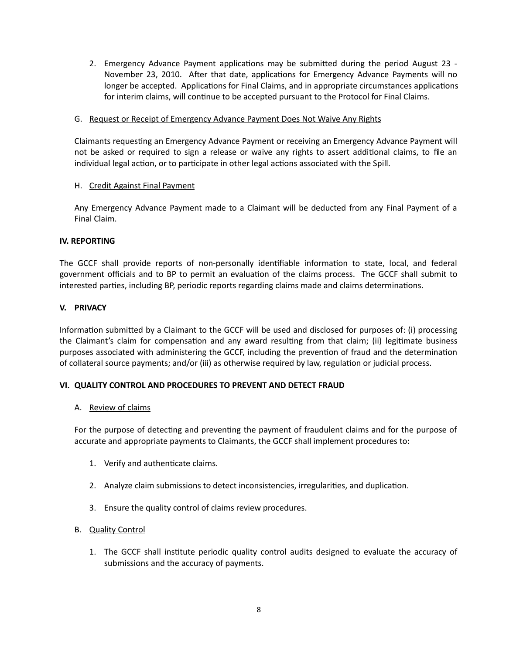2. Emergency Advance Payment applications may be submitted during the period August 23 -November 23, 2010. After that date, applications for Emergency Advance Payments will no longer be accepted. Applications for Final Claims, and in appropriate circumstances applications for interim claims, will continue to be accepted pursuant to the Protocol for Final Claims.

### G. Request or Receipt of Emergency Advance Payment Does Not Waive Any Rights

Claimants requestng an Emergency Advance Payment or receiving an Emergency Advance Payment will not be asked or required to sign a release or waive any rights to assert additonal claims, to fle an individual legal action, or to participate in other legal actions associated with the Spill.

## H. Credit Against Final Payment

Any Emergency Advance Payment made to a Claimant will be deducted from any Final Payment of a Final Claim.

#### **IV. REPORTING**

The GCCF shall provide reports of non-personally identifiable information to state, local, and federal government officials and to BP to permit an evaluation of the claims process. The GCCF shall submit to interested parties, including BP, periodic reports regarding claims made and claims determinations.

#### **V. PRIVACY**

Information submitted by a Claimant to the GCCF will be used and disclosed for purposes of: (i) processing the Claimant's claim for compensation and any award resulting from that claim; (ii) legitimate business purposes associated with administering the GCCF, including the preventon of fraud and the determinaton of collateral source payments; and/or (iii) as otherwise required by law, regulaton or judicial process.

## **VI. QUALITY CONTROL AND PROCEDURES TO PREVENT AND DETECT FRAUD**

#### A. Review of claims

For the purpose of detecting and preventing the payment of fraudulent claims and for the purpose of accurate and appropriate payments to Claimants, the GCCF shall implement procedures to:

- 1. Verify and authenticate claims.
- 2. Analyze claim submissions to detect inconsistencies, irregularities, and duplication.
- 3. Ensure the quality control of claims review procedures.

## B. Quality Control

1. The GCCF shall insttute periodic quality control audits designed to evaluate the accuracy of submissions and the accuracy of payments.